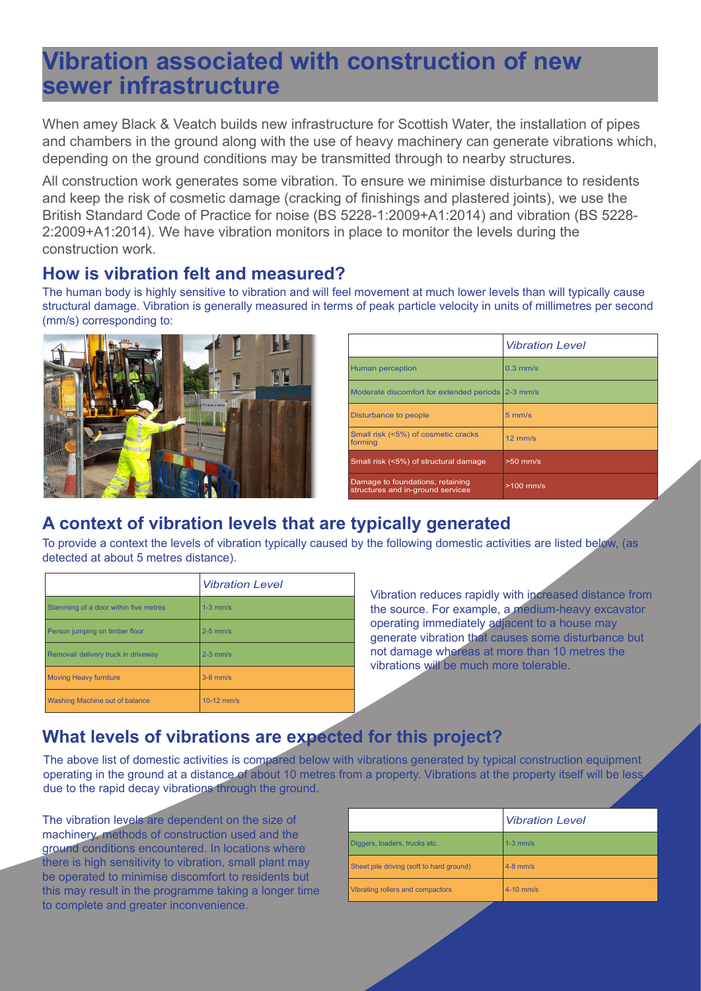# **Vibration associated with construction of new sewer infrastructure**

When amey Black & Veatch builds new infrastructure for Scottish Water, the installation of pipes and chambers in the ground along with the use of heavy machinery can generate vibrations which, depending on the ground conditions may be transmitted through to nearby structures.

All construction work generates some vibration. To ensure we minimise disturbance to residents and keep the risk of cosmetic damage (cracking of finishings and plastered joints), we use the British Standard Code of Practice for noise (BS 5228-1:2009+A1:2014) and vibration (BS 5228- 2:2009+A1:2014). We have vibration monitors in place to monitor the levels during the construction work.

### **How is vibration felt and measured?**

The human body is highly sensitive to vibration and will feel movement at much lower levels than will typically cause structural damage. Vibration is generally measured in terms of peak particle velocity in units of millimetres per second (mm/s) corresponding to:



|                                                                       | <b>Vibration Level</b> |
|-----------------------------------------------------------------------|------------------------|
| Human perception                                                      | $0.3$ mm/s             |
| Moderate discomfort for extended periods 2-3 mm/s                     |                        |
| Disturbance to people                                                 | $5 \text{ mm/s}$       |
| Small risk (<5%) of cosmetic cracks<br>forming                        | $12 \text{ mm/s}$      |
| Small risk (<5%) of structural damage                                 | $>50$ mm/s             |
| Damage to foundations, retaining<br>structures and in-ground services | $>100$ mm/s            |

## **A context of vibration levels that are typically generated**

To provide a context the levels of vibration typically caused by the following domestic activities are listed below, (as detected at about 5 metres distance).

|                                       | <b>Vibration Level</b> |
|---------------------------------------|------------------------|
| Slamming of a door within five metres | $1-3$ mm/s             |
| Person jumping on timber floor        | $2-5$ mm/s             |
| Removal/ delivery truck in driveway   | $2-3$ mm/s             |
| <b>Moving Heavy furniture</b>         | $3-8$ mm/s             |
| Washing Machine out of balance        | $10-12$ mm/s           |

Vibration reduces rapidly with increased distance from the source. For example, a medium-heavy excavator operating immediately adjacent to a house may generate vibration that causes some disturbance but not damage whereas at more than 10 metres the vibrations will be much more tolerable.

# **What levels of vibrations are expected for this project?**

The above list of domestic activities is compared below with vibrations generated by typical construction equipment operating in the ground at a distance of about 10 metres from a property. Vibrations at the property itself will be less due to the rapid decay vibrations through the ground.

The vibration levels are dependent on the size of machinery, methods of construction used and the ground conditions encountered. In locations where there is high sensitivity to vibration, small plant may be operated to minimise discomfort to residents but this may result in the programme taking a longer time to complete and greater inconvenience.

|                                          | <b>Vibration Level</b> |
|------------------------------------------|------------------------|
| Diggers, loaders, trucks etc.            | $1-3$ mm/s             |
| Sheet pile driving (soft to hard ground) | $4-8$ mm/s             |
| Vibrating rollers and compactors         | $4-10$ mm/s            |